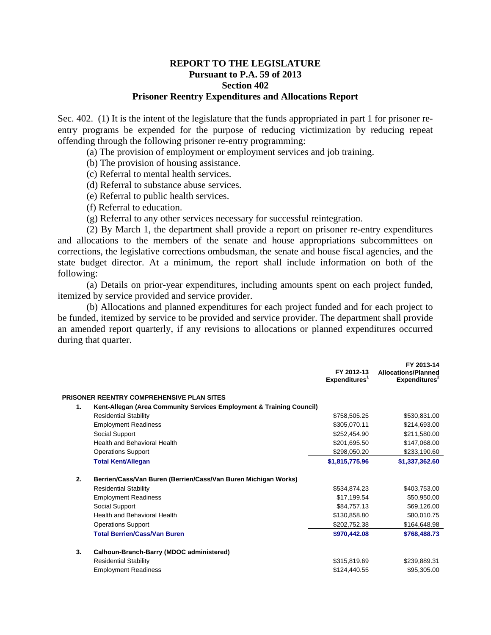## **REPORT TO THE LEGISLATURE Pursuant to P.A. 59 of 2013 Section 402 Prisoner Reentry Expenditures and Allocations Report**

Sec. 402. (1) It is the intent of the legislature that the funds appropriated in part 1 for prisoner reentry programs be expended for the purpose of reducing victimization by reducing repeat offending through the following prisoner re-entry programming:

(a) The provision of employment or employment services and job training.

(b) The provision of housing assistance.

(c) Referral to mental health services.

(d) Referral to substance abuse services.

(e) Referral to public health services.

(f) Referral to education.

(g) Referral to any other services necessary for successful reintegration.

(2) By March 1, the department shall provide a report on prisoner re-entry expenditures and allocations to the members of the senate and house appropriations subcommittees on corrections, the legislative corrections ombudsman, the senate and house fiscal agencies, and the state budget director. At a minimum, the report shall include information on both of the following:

(a) Details on prior-year expenditures, including amounts spent on each project funded, itemized by service provided and service provider.

(b) Allocations and planned expenditures for each project funded and for each project to be funded, itemized by service to be provided and service provider. The department shall provide an amended report quarterly, if any revisions to allocations or planned expenditures occurred during that quarter.

|    |                                                                      | FY 2012-13<br>Expenditures <sup>1</sup> | FY 2013-14<br><b>Allocations/Planned</b><br>Expenditures <sup>2</sup> |  |  |
|----|----------------------------------------------------------------------|-----------------------------------------|-----------------------------------------------------------------------|--|--|
|    | <b>PRISONER REENTRY COMPREHENSIVE PLAN SITES</b>                     |                                         |                                                                       |  |  |
| 1. | Kent-Allegan (Area Community Services Employment & Training Council) |                                         |                                                                       |  |  |
|    | <b>Residential Stability</b>                                         | \$758,505.25                            | \$530,831.00                                                          |  |  |
|    | <b>Employment Readiness</b>                                          | \$305,070.11                            | \$214,693.00                                                          |  |  |
|    | Social Support                                                       | \$252,454.90                            | \$211,580.00                                                          |  |  |
|    | Health and Behavioral Health                                         | \$201,695.50                            | \$147,068.00                                                          |  |  |
|    | <b>Operations Support</b>                                            | \$298,050.20                            | \$233,190.60                                                          |  |  |
|    | <b>Total Kent/Allegan</b>                                            | \$1,815,775.96                          | \$1,337,362.60                                                        |  |  |
| 2. | Berrien/Cass/Van Buren (Berrien/Cass/Van Buren Michigan Works)       |                                         |                                                                       |  |  |
|    | <b>Residential Stability</b>                                         | \$534.874.23                            | \$403,753.00                                                          |  |  |
|    | <b>Employment Readiness</b>                                          | \$17,199.54                             | \$50,950.00                                                           |  |  |
|    | Social Support                                                       | \$84,757.13                             | \$69,126.00                                                           |  |  |
|    | <b>Health and Behavioral Health</b>                                  | \$130,858.80                            | \$80,010.75                                                           |  |  |
|    | <b>Operations Support</b>                                            | \$202,752.38                            | \$164,648.98                                                          |  |  |
|    | <b>Total Berrien/Cass/Van Buren</b>                                  | \$970,442.08                            | \$768,488.73                                                          |  |  |
| 3. | Calhoun-Branch-Barry (MDOC administered)                             |                                         |                                                                       |  |  |
|    | <b>Residential Stability</b>                                         | \$315,819.69                            | \$239,889.31                                                          |  |  |
|    | <b>Employment Readiness</b>                                          | \$124,440.55                            | \$95,305.00                                                           |  |  |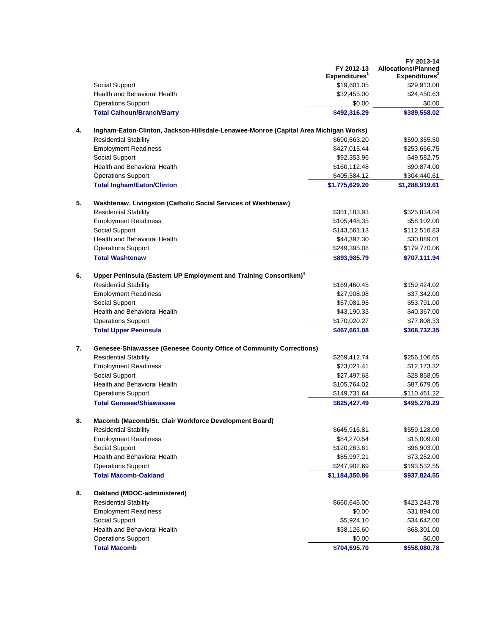|    |                                                                                      | FY 2012-13<br>Expenditures <sup>1</sup> | FY 2013-14<br><b>Allocations/Planned</b><br>Expenditures <sup>2</sup> |  |  |
|----|--------------------------------------------------------------------------------------|-----------------------------------------|-----------------------------------------------------------------------|--|--|
|    | Social Support                                                                       | \$19,601.05                             | \$29,913.08                                                           |  |  |
|    | Health and Behavioral Health                                                         | \$32,455.00                             | \$24,450.63                                                           |  |  |
|    | <b>Operations Support</b>                                                            | \$0.00                                  | \$0.00                                                                |  |  |
|    | <b>Total Calhoun/Branch/Barry</b>                                                    | \$492,316.29                            | \$389,558.02                                                          |  |  |
| 4. | Ingham-Eaton-Clinton, Jackson-Hillsdale-Lenawee-Monroe (Capital Area Michigan Works) |                                         |                                                                       |  |  |
|    | <b>Residential Stability</b>                                                         | \$690,563.20                            | \$590,355.50                                                          |  |  |
|    | <b>Employment Readiness</b>                                                          | \$427,015.44                            | \$253,666.75                                                          |  |  |
|    | Social Support                                                                       | \$92,353.96                             | \$49,582.75                                                           |  |  |
|    | Health and Behavioral Health                                                         | \$160,112.48                            | \$90,874.00                                                           |  |  |
|    | <b>Operations Support</b>                                                            | \$405,584.12                            | \$304,440.61                                                          |  |  |
|    | <b>Total Ingham/Eaton/Clinton</b>                                                    | \$1,775,629.20                          | \$1,288,919.61                                                        |  |  |
| 5. | Washtenaw, Livingston (Catholic Social Services of Washtenaw)                        |                                         |                                                                       |  |  |
|    | <b>Residential Stability</b>                                                         | \$351,183.93                            | \$325,834.04                                                          |  |  |
|    | <b>Employment Readiness</b>                                                          | \$105,448.35                            | \$58,102.00                                                           |  |  |
|    | Social Support                                                                       | \$143,561.13                            | \$112,516.83                                                          |  |  |
|    | <b>Health and Behavioral Health</b>                                                  | \$44,397.30                             | \$30,889.01                                                           |  |  |
|    | <b>Operations Support</b>                                                            | \$249,395.08                            | \$179,770.06                                                          |  |  |
|    | <b>Total Washtenaw</b>                                                               | \$893,985.79                            | \$707,111.94                                                          |  |  |
| 6. | Upper Peninsula (Eastern UP Employment and Training Consortium) <sup>4</sup>         |                                         |                                                                       |  |  |
|    | <b>Residential Stability</b>                                                         | \$169,460.45                            | \$159,424.02                                                          |  |  |
|    | <b>Employment Readiness</b>                                                          | \$27,908.08                             | \$37,342.00                                                           |  |  |
|    | Social Support                                                                       | \$57,081.95                             | \$53,791.00                                                           |  |  |
|    | Health and Behavioral Health                                                         | \$43,190.33                             | \$40,367.00                                                           |  |  |
|    | <b>Operations Support</b>                                                            | \$170,020.27                            | \$77,808.33                                                           |  |  |
|    | <b>Total Upper Peninsula</b>                                                         | \$467,661.08                            | \$368,732.35                                                          |  |  |
| 7. | Genesee-Shiawassee (Genesee County Office of Community Corrections)                  |                                         |                                                                       |  |  |
|    | <b>Residential Stability</b>                                                         | \$269,412.74                            | \$256,106.65                                                          |  |  |
|    | <b>Employment Readiness</b>                                                          | \$73,021.41                             | \$12,173.32                                                           |  |  |
|    | Social Support                                                                       | \$27,497.68                             | \$28,858.05                                                           |  |  |
|    | Health and Behavioral Health                                                         | \$105,764.02                            | \$87,679.05                                                           |  |  |
|    | <b>Operations Support</b>                                                            | \$149,731.64                            | \$110,461.22                                                          |  |  |
|    | <b>Total Genesee/Shiawassee</b>                                                      | \$625,427.49                            | \$495,278.29                                                          |  |  |
| 8. | Macomb (Macomb/St. Clair Workforce Development Board)                                |                                         |                                                                       |  |  |
|    | <b>Residential Stability</b>                                                         | \$645,916.81                            | \$559,128.00                                                          |  |  |
|    | <b>Employment Readiness</b>                                                          | \$84,270.54                             | \$15,009.00                                                           |  |  |
|    | Social Support                                                                       | \$120,263.61                            | \$96,903.00                                                           |  |  |
|    | Health and Behavioral Health                                                         | \$85,997.21                             | \$73,252.00                                                           |  |  |
|    | <b>Operations Support</b>                                                            | \$247,902.69                            | \$193,532.55                                                          |  |  |
|    | <b>Total Macomb-Oakland</b>                                                          | \$1,184,350.86                          | \$937,824.55                                                          |  |  |
| 8. | Oakland (MDOC-administered)                                                          |                                         |                                                                       |  |  |
|    | <b>Residential Stability</b>                                                         | \$660,645.00                            | \$423,243.78                                                          |  |  |
|    | <b>Employment Readiness</b>                                                          | \$0.00                                  | \$31,894.00                                                           |  |  |
|    | Social Support                                                                       | \$5,924.10                              | \$34,642.00                                                           |  |  |
|    | Health and Behavioral Health                                                         | \$38,126.60                             | \$68,301.00                                                           |  |  |
|    | <b>Operations Support</b>                                                            | \$0.00                                  | \$0.00                                                                |  |  |
|    | <b>Total Macomb</b>                                                                  | \$704,695.70                            | \$558,080.78                                                          |  |  |
|    |                                                                                      |                                         |                                                                       |  |  |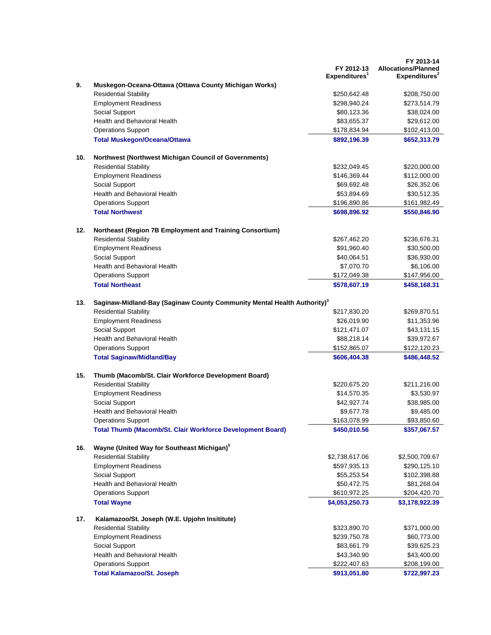|     |                                                                                     | FY 2012-13<br>Expenditures <sup>1</sup> | FY 2013-14<br><b>Allocations/Planned</b><br>Expenditures <sup>2</sup> |
|-----|-------------------------------------------------------------------------------------|-----------------------------------------|-----------------------------------------------------------------------|
| 9.  | Muskegon-Oceana-Ottawa (Ottawa County Michigan Works)                               |                                         |                                                                       |
|     | <b>Residential Stability</b>                                                        | \$250,642.48                            | \$208,750.00                                                          |
|     | <b>Employment Readiness</b>                                                         | \$298,940.24                            | \$273,514.79                                                          |
|     | Social Support                                                                      | \$80,123.36                             | \$38,024.00                                                           |
|     | Health and Behavioral Health                                                        | \$83,655.37                             | \$29,612.00                                                           |
|     | <b>Operations Support</b>                                                           | \$178,834.94                            | \$102,413.00                                                          |
|     | <b>Total Muskegon/Oceana/Ottawa</b>                                                 | \$892,196.39                            | \$652,313.79                                                          |
| 10. | Northwest (Northwest Michigan Council of Governments)                               |                                         |                                                                       |
|     | <b>Residential Stability</b>                                                        | \$232,049.45                            | \$220,000.00                                                          |
|     | <b>Employment Readiness</b>                                                         | \$146,369.44                            | \$112,000.00                                                          |
|     | Social Support                                                                      | \$69,692.48                             | \$26,352.06                                                           |
|     | <b>Health and Behavioral Health</b>                                                 | \$53,894.69                             | \$30,512.35                                                           |
|     | <b>Operations Support</b>                                                           | \$196,890.86                            | \$161,982.49                                                          |
|     | <b>Total Northwest</b>                                                              | \$698,896.92                            | \$550,846.90                                                          |
| 12. | Northeast (Region 7B Employment and Training Consortium)                            |                                         |                                                                       |
|     | <b>Residential Stability</b>                                                        | \$267,462.20                            | \$236,676.31                                                          |
|     | <b>Employment Readiness</b>                                                         | \$91,960.40                             | \$30,500.00                                                           |
|     | Social Support                                                                      | \$40,064.51                             | \$36,930.00                                                           |
|     | Health and Behavioral Health                                                        | \$7,070.70                              | \$6,106.00                                                            |
|     | <b>Operations Support</b>                                                           | \$172,049.38                            | \$147,956.00                                                          |
|     | <b>Total Northeast</b>                                                              | \$578,607.19                            | \$458,168.31                                                          |
| 13. | Saginaw-Midland-Bay (Saginaw County Community Mental Health Authority) <sup>3</sup> |                                         |                                                                       |
|     | <b>Residential Stability</b>                                                        | \$217,830.20                            | \$269,870.51                                                          |
|     | <b>Employment Readiness</b>                                                         | \$26,019.90                             | \$11,353.96                                                           |
|     | Social Support                                                                      | \$121,471.07                            | \$43,131.15                                                           |
|     | Health and Behavioral Health                                                        | \$88,218.14                             | \$39,972.67                                                           |
|     |                                                                                     |                                         |                                                                       |
|     | <b>Operations Support</b>                                                           | \$152,865.07                            | \$122,120.23                                                          |
|     | <b>Total Saginaw/Midland/Bay</b>                                                    | \$606,404.38                            | \$486,448.52                                                          |
| 15. | Thumb (Macomb/St. Clair Workforce Development Board)                                |                                         |                                                                       |
|     | <b>Residential Stability</b>                                                        | \$220,675.20                            | \$211,216.00                                                          |
|     | <b>Employment Readiness</b>                                                         | \$14,570.35                             | \$3,530.97                                                            |
|     | Social Support                                                                      | \$42,927.74                             | \$38,985.00                                                           |
|     | <b>Health and Behavioral Health</b>                                                 | \$9,677.78                              | \$9,485.00                                                            |
|     | Operations Support                                                                  | \$163,078.99                            | \$93,850.60                                                           |
|     | Total Thumb (Macomb/St. Clair Workforce Development Board)                          | \$450,010.56                            | \$357,067.57                                                          |
| 16. | Wayne (United Way for Southeast Michigan) <sup>5</sup>                              |                                         |                                                                       |
|     | <b>Residential Stability</b>                                                        | \$2,738,617.06                          | \$2,500,709.67                                                        |
|     | <b>Employment Readiness</b>                                                         | \$597,935.13                            | \$290,125.10                                                          |
|     | Social Support                                                                      | \$55,253.54                             | \$102,398.88                                                          |
|     | Health and Behavioral Health                                                        | \$50,472.75                             | \$81,268.04                                                           |
|     | <b>Operations Support</b>                                                           | \$610,972.25                            | \$204,420.70                                                          |
|     | <b>Total Wayne</b>                                                                  | \$4,053,250.73                          | \$3,178,922.39                                                        |
| 17. | Kalamazoo/St. Joseph (W.E. Upjohn Insititute)                                       |                                         |                                                                       |
|     | <b>Residential Stability</b>                                                        | \$323,890.70                            | \$371,000.00                                                          |
|     | <b>Employment Readiness</b>                                                         | \$239,750.78                            | \$60,773.00                                                           |
|     | Social Support                                                                      | \$83,661.79                             | \$39,625.23                                                           |
|     | Health and Behavioral Health                                                        | \$43,340.90                             | \$43,400.00                                                           |
|     | <b>Operations Support</b>                                                           | \$222,407.63                            | \$208,199.00                                                          |
|     | <b>Total Kalamazoo/St. Joseph</b>                                                   | \$913,051.80                            | \$722,997.23                                                          |
|     |                                                                                     |                                         |                                                                       |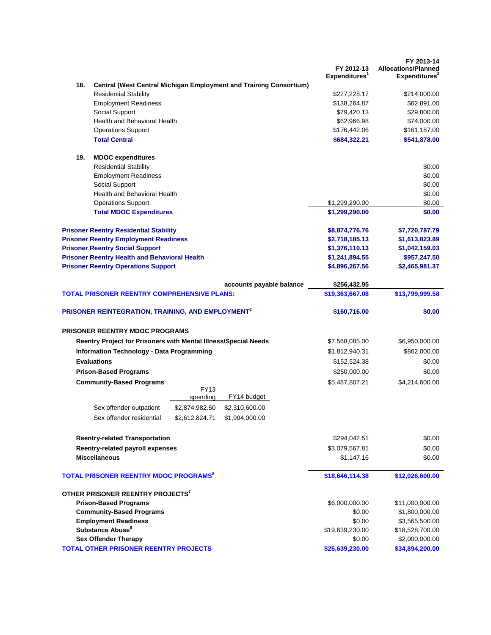|                                                                 |                |                                                                           | FY 2012-13<br>Expenditures <sup>1</sup> | FY 2013-14<br><b>Allocations/Planned</b><br>Expenditures <sup>2</sup> |
|-----------------------------------------------------------------|----------------|---------------------------------------------------------------------------|-----------------------------------------|-----------------------------------------------------------------------|
| 18.                                                             |                | <b>Central (West Central Michigan Employment and Training Consortium)</b> |                                         |                                                                       |
| <b>Residential Stability</b>                                    |                |                                                                           | \$227,228.17                            | \$214,000.00                                                          |
| <b>Employment Readiness</b>                                     |                |                                                                           | \$138,264.87                            | \$62,891.00                                                           |
| Social Support                                                  |                |                                                                           | \$79,420.13                             | \$29,800.00                                                           |
| Health and Behavioral Health                                    |                |                                                                           | \$62,966.98                             | \$74,000.00                                                           |
| <b>Operations Support</b>                                       |                |                                                                           | \$176,442.06                            | \$161,187.00                                                          |
| <b>Total Central</b>                                            |                |                                                                           | \$684,322.21                            | \$541,878.00                                                          |
| 19.<br><b>MDOC</b> expenditures                                 |                |                                                                           |                                         |                                                                       |
| <b>Residential Stability</b>                                    |                |                                                                           |                                         | \$0.00                                                                |
| <b>Employment Readiness</b>                                     |                |                                                                           |                                         | \$0.00                                                                |
| Social Support                                                  |                |                                                                           |                                         | \$0.00                                                                |
| <b>Health and Behavioral Health</b>                             |                |                                                                           |                                         | \$0.00                                                                |
| <b>Operations Support</b>                                       |                |                                                                           | \$1,299,290.00                          | \$0.00                                                                |
| <b>Total MDOC Expenditures</b>                                  |                |                                                                           | \$1,299,290.00                          | \$0.00                                                                |
| <b>Prisoner Reentry Residential Stability</b>                   |                |                                                                           | \$8,874,776.76                          | \$7,720,787.79                                                        |
| <b>Prisoner Reentry Employment Readiness</b>                    |                |                                                                           | \$2,718,185.13                          | \$1,613,823.89                                                        |
| <b>Prisoner Reentry Social Support</b>                          |                |                                                                           | \$1,376,110.13                          | \$1,042,159.03                                                        |
| <b>Prisoner Reentry Health and Behavioral Health</b>            |                |                                                                           | \$1,241,894.55                          | \$957,247.50                                                          |
| <b>Prisoner Reentry Operations Support</b>                      |                |                                                                           | \$4,896,267.56                          | \$2,465,981.37                                                        |
|                                                                 |                | accounts payable balance                                                  | \$256,432.95                            |                                                                       |
| TOTAL PRISONER REENTRY COMPREHENSIVE PLANS:                     |                |                                                                           | \$19,363,667.08                         | \$13,799,999.58                                                       |
| PRISONER REINTEGRATION, TRAINING, AND EMPLOYMENT <sup>6</sup>   |                |                                                                           | \$160,716.00                            | \$0.00                                                                |
| <b>PRISONER REENTRY MDOC PROGRAMS</b>                           |                |                                                                           |                                         |                                                                       |
| Reentry Project for Prisoners with Mental Illness/Special Needs |                |                                                                           | \$7,568,085.00                          | \$6,950,000.00                                                        |
| <b>Information Technology - Data Programming</b>                |                |                                                                           | \$1,812,940.31                          | \$862,000.00                                                          |
| <b>Evaluations</b>                                              |                |                                                                           | \$152,524.38                            | \$0.00                                                                |
| <b>Prison-Based Programs</b>                                    |                |                                                                           | \$250,000.00                            | \$0.00                                                                |
| <b>Community-Based Programs</b>                                 |                |                                                                           | \$5,487,807.21                          | \$4,214,600.00                                                        |
|                                                                 | FY13           |                                                                           |                                         |                                                                       |
|                                                                 | spending       | FY14 budget                                                               |                                         |                                                                       |
| Sex offender outpatient                                         | \$2,874,982.50 | \$2,310,600.00                                                            |                                         |                                                                       |
| Sex offender residential                                        | \$2,612,824.71 | \$1,904,000.00                                                            |                                         |                                                                       |
| <b>Reentry-related Transportation</b>                           |                |                                                                           | \$294,042.51                            | \$0.00                                                                |
| Reentry-related payroll expenses                                |                |                                                                           | \$3,079,567.81                          | \$0.00                                                                |
| <b>Miscellaneous</b>                                            |                |                                                                           | \$1,147.16                              | \$0.00                                                                |
| <b>TOTAL PRISONER REENTRY MDOC PROGRAMS®</b>                    |                |                                                                           | \$18,646,114.38                         | \$12,026,600.00                                                       |
| OTHER PRISONER REENTRY PROJECTS <sup>7</sup>                    |                |                                                                           |                                         |                                                                       |
| <b>Prison-Based Programs</b>                                    |                |                                                                           | \$6,000,000.00                          | \$11,000,000.00                                                       |
| <b>Community-Based Programs</b>                                 |                |                                                                           | \$0.00                                  | \$1,800,000.00                                                        |
| <b>Employment Readiness</b>                                     |                |                                                                           | \$0.00                                  | \$3,565,500.00                                                        |
| Substance Abuse <sup>8</sup>                                    |                |                                                                           | \$19,639,230.00                         | \$18,528,700.00                                                       |
| <b>Sex Offender Therapy</b>                                     |                |                                                                           | \$0.00                                  | \$2,000,000.00                                                        |
| <b>TOTAL OTHER PRISONER REENTRY PROJECTS</b>                    |                |                                                                           | \$25,639,230.00                         | \$34,894,200.00                                                       |
|                                                                 |                |                                                                           |                                         |                                                                       |